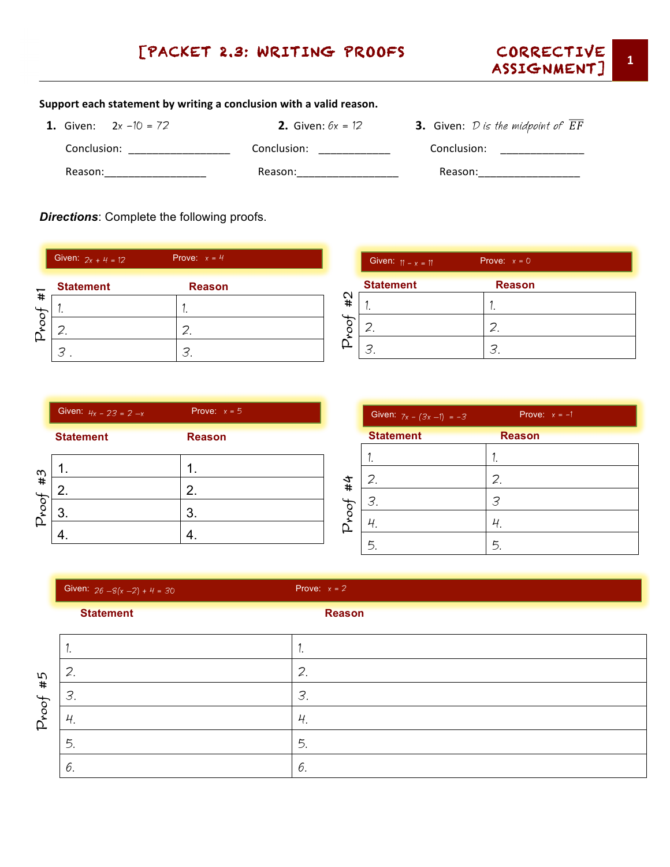## [PACKET 2.3: WRITING PROOFS CORRECTIVE



## Support each statement by writing a conclusion with a valid reason.

**1.** Given:  $2x - 10 = 72$  **2.** Given:  $6x = 12$  **3.** Given: *D is the midpoint of*  $\overline{EF}$  Conclusion: \_\_\_\_\_\_\_\_\_\_\_\_\_\_\_\_\_ Conclusion: \_\_\_\_\_\_\_\_\_\_\_\_ Conclusion: \_\_\_\_\_\_\_\_\_\_\_\_\_\_ Reason:\_\_\_\_\_\_\_\_\_\_\_\_\_\_\_\_\_ Reason:\_\_\_\_\_\_\_\_\_\_\_\_\_\_\_\_\_ Reason:\_\_\_\_\_\_\_\_\_\_\_\_\_\_\_\_\_ 

*Directions*: Complete the following proofs.

|       | Prove: $x = 4$<br>Given: $2x + 4 = 12$ |               |  |
|-------|----------------------------------------|---------------|--|
|       | <b>Statement</b>                       | <b>Reason</b> |  |
| $\pm$ |                                        |               |  |
|       |                                        |               |  |
|       |                                        | Β             |  |

|      | Given: $11 - x = 11$ | Prove: $x = 0$ |
|------|----------------------|----------------|
|      | <b>Statement</b>     | <b>Reason</b>  |
| #2   |                      | ٠              |
| 1004 |                      |                |
| ₽    |                      | ີ              |

|       | Given: $4x - 23 = 2 - x$ | Prove: $x = 5$ |
|-------|--------------------------|----------------|
|       | <b>Statement</b>         | <b>Reason</b>  |
| #3    |                          |                |
|       |                          | 2.             |
| Proof |                          | 3.             |
|       |                          |                |

|          | Given: $7x - (3x - 1) = -3$ | Prove: $x = -1$ |
|----------|-----------------------------|-----------------|
|          | <b>Statement</b>            | <b>Reason</b>   |
|          |                             |                 |
| $\sharp$ | 2.                          | 2.              |
|          | З.                          | 3               |
| Proof    |                             |                 |
|          | 5.                          | 5.              |

|             | Given: $26 - 8(x - 2) + 4 = 30$ | Prove: $x = 2$ |
|-------------|---------------------------------|----------------|
|             | <b>Statement</b>                | <b>Reason</b>  |
| #5<br>Proof | ٠.                              | ٠.             |
|             | 2.                              | 2.             |
|             | 3.                              | 3.             |
|             | 4.                              | 4.             |
|             | 5.                              | 5.             |
|             | 6.                              | 6.             |